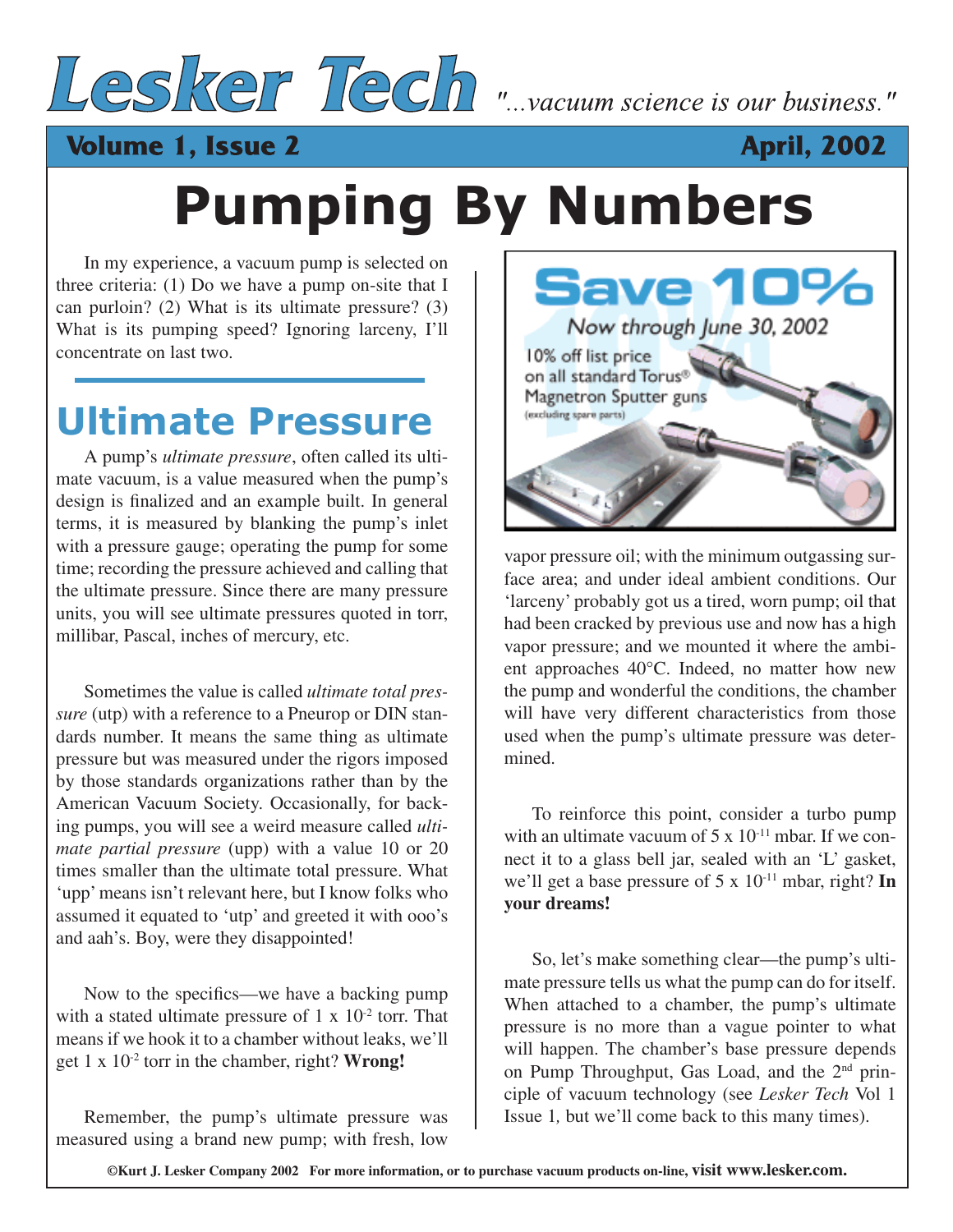

### **Volume 1, Issue 2**



## **Pumping By Numbers**

In my experience, a vacuum pump is selected on three criteria: (1) Do we have a pump on-site that I can purloin? (2) What is its ultimate pressure? (3) What is its pumping speed? Ignoring larceny, I'll concentrate on last two.

### **Ultimate Pressure**

A pump's *ultimate pressure*, often called its ultimate vacuum, is a value measured when the pump's design is finalized and an example built. In general terms, it is measured by blanking the pump's inlet with a pressure gauge; operating the pump for some time; recording the pressure achieved and calling that the ultimate pressure. Since there are many pressure units, you will see ultimate pressures quoted in torr, millibar, Pascal, inches of mercury, etc.

Sometimes the value is called *ultimate total pressure* (utp) with a reference to a Pneurop or DIN standards number. It means the same thing as ultimate pressure but was measured under the rigors imposed by those standards organizations rather than by the American Vacuum Society. Occasionally, for backing pumps, you will see a weird measure called *ultimate partial pressure* (upp) with a value 10 or 20 times smaller than the ultimate total pressure. What 'upp' means isn't relevant here, but I know folks who assumed it equated to 'utp' and greeted it with ooo's and aah's. Boy, were they disappointed!

Now to the specifics—we have a backing pump with a stated ultimate pressure of  $1 \times 10^{-2}$  torr. That means if we hook it to a chamber without leaks, we'll get 1 x 10-2 torr in the chamber, right? **Wrong!**

Remember, the pump's ultimate pressure was measured using a brand new pump; with fresh, low



vapor pressure oil; with the minimum outgassing surface area; and under ideal ambient conditions. Our 'larceny' probably got us a tired, worn pump; oil that had been cracked by previous use and now has a high vapor pressure; and we mounted it where the ambient approaches 40°C. Indeed, no matter how new the pump and wonderful the conditions, the chamber will have very different characteristics from those used when the pump's ultimate pressure was determined.

To reinforce this point, consider a turbo pump with an ultimate vacuum of  $5 \times 10^{-11}$  mbar. If we connect it to a glass bell jar, sealed with an 'L' gasket, we'll get a base pressure of 5 x 10-11 mbar, right? **In your dreams!**

So, let's make something clear—the pump's ultimate pressure tells us what the pump can do for itself. When attached to a chamber, the pump's ultimate pressure is no more than a vague pointer to what will happen. The chamber's base pressure depends on Pump Throughput, Gas Load, and the  $2<sup>nd</sup>$  principle of vacuum technology (see *Lesker Tech* Vol 1 Issue 1*,* but we'll come back to this many times).

**©Kurt J. Lesker Company 2002 For more information, or to purchase vacuum products on-line, visit www.lesker.com.**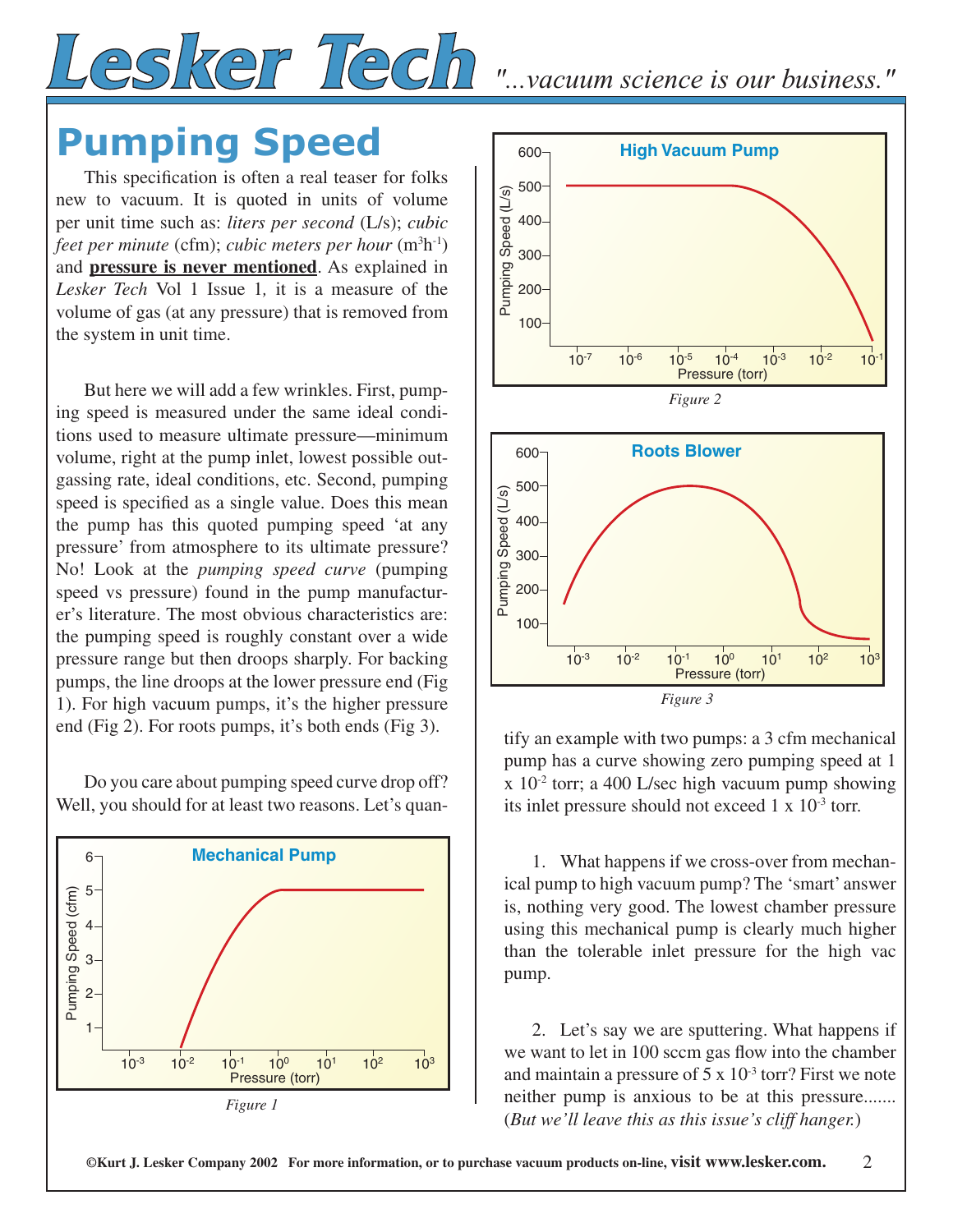

### **Pumping Speed**

This specification is often a real teaser for folks new to vacuum. It is quoted in units of volume per unit time such as: *liters per second* (L/s); *cubic*  feet per minute (cfm); *cubic meters per hour* (m<sup>3</sup>h<sup>-1</sup>) and **pressure is never mentioned**. As explained in *Lesker Tech* Vol 1 Issue 1*,* it is a measure of the volume of gas (at any pressure) that is removed from the system in unit time.

But here we will add a few wrinkles. First, pumping speed is measured under the same ideal conditions used to measure ultimate pressure—minimum volume, right at the pump inlet, lowest possible outgassing rate, ideal conditions, etc. Second, pumping speed is specified as a single value. Does this mean the pump has this quoted pumping speed 'at any pressure' from atmosphere to its ultimate pressure? No! Look at the *pumping speed curve* (pumping speed vs pressure) found in the pump manufacturer's literature. The most obvious characteristics are: the pumping speed is roughly constant over a wide pressure range but then droops sharply. For backing pumps, the line droops at the lower pressure end (Fig 1). For high vacuum pumps, it's the higher pressure end (Fig 2). For roots pumps, it's both ends (Fig 3).

Do you care about pumping speed curve drop off? Well, you should for at least two reasons. Let's quan-





tify an example with two pumps: a 3 cfm mechanical pump has a curve showing zero pumping speed at 1  $x$  10<sup>-2</sup> torr; a 400 L/sec high vacuum pump showing its inlet pressure should not exceed  $1 \times 10^{-3}$  torr.

*Figure 3*

1. What happens if we cross-over from mechanical pump to high vacuum pump? The 'smart' answer is, nothing very good. The lowest chamber pressure using this mechanical pump is clearly much higher than the tolerable inlet pressure for the high vac pump.

2. Let's say we are sputtering. What happens if we want to let in 100 sccm gas flow into the chamber and maintain a pressure of  $5 \times 10^{-3}$  torr? First we note neither pump is anxious to be at this pressure....... (*But we'll leave this as this issue's cliff hanger.*)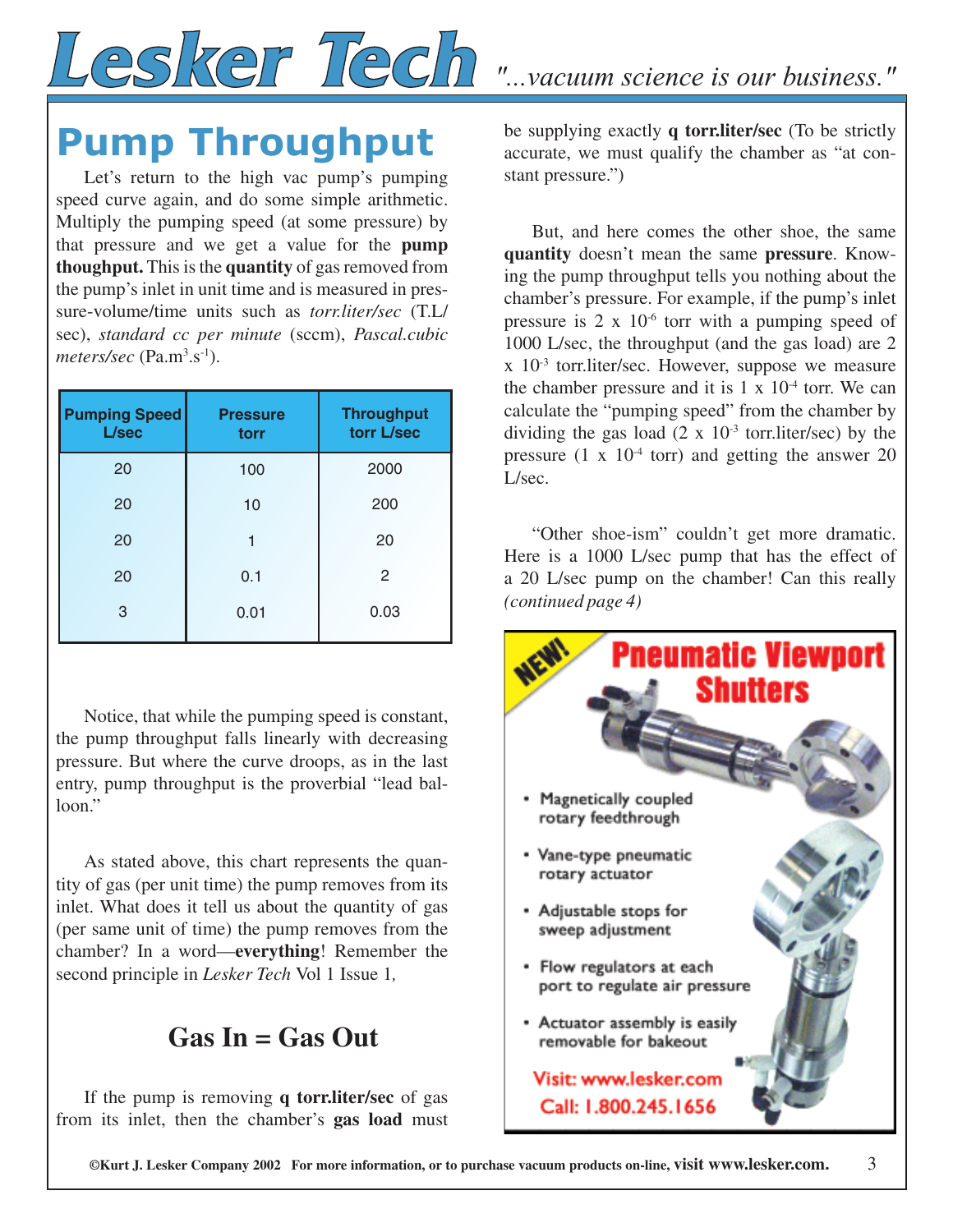# Lesker Tech "...vacuum science is our business."

### **Pump Throughput**

Let's return to the high vac pump's pumping speed curve again, and do some simple arithmetic. Multiply the pumping speed (at some pressure) by that pressure and we get a value for the **pump thoughput.** This is the **quantity** of gas removed from the pump's inlet in unit time and is measured in pressure-volume/time units such as *torr.liter/sec* (T.L/ sec), *standard cc per minute* (sccm), *Pascal.cubic*  meters/sec (Pa.m<sup>3</sup>.s<sup>-1</sup>).

| <b>Pumping Speed</b><br>L/sec | <b>Pressure</b><br>torr | <b>Throughput</b><br>torr L/sec |
|-------------------------------|-------------------------|---------------------------------|
| 20                            | 100                     | 2000                            |
| 20                            | 10                      | 200                             |
| 20                            |                         | 20                              |
| 20                            | 0.1                     | 2                               |
| 3                             | 0.01                    | 0.03                            |

Notice, that while the pumping speed is constant, the pump throughput falls linearly with decreasing pressure. But where the curve droops, as in the last entry, pump throughput is the proverbial "lead balloon."

As stated above, this chart represents the quantity of gas (per unit time) the pump removes from its inlet. What does it tell us about the quantity of gas (per same unit of time) the pump removes from the chamber? In a word—**everything**! Remember the second principle in *Lesker Tech* Vol 1 Issue 1*,*

### **Gas In = Gas Out**

If the pump is removing **q torr.liter/sec** of gas from its inlet, then the chamber's **gas load** must be supplying exactly **q torr.liter/sec** (To be strictly accurate, we must qualify the chamber as "at constant pressure.")

But, and here comes the other shoe, the same **quantity** doesn't mean the same **pressure**. Knowing the pump throughput tells you nothing about the chamber's pressure. For example, if the pump's inlet pressure is  $2 \times 10^{-6}$  torr with a pumping speed of 1000 L/sec, the throughput (and the gas load) are 2 x 10-3 torr.liter/sec. However, suppose we measure the chamber pressure and it is  $1 \times 10^{-4}$  torr. We can calculate the "pumping speed" from the chamber by dividing the gas load  $(2 \times 10^{-3} \text{ torr.}$ liter/sec) by the pressure  $(1 \times 10^{-4} \text{ torr})$  and getting the answer 20 L/sec.

"Other shoe-ism" couldn't get more dramatic. Here is a 1000 L/sec pump that has the effect of a 20 L/sec pump on the chamber! Can this really *(continued page 4)* 



**©Kurt J. Lesker Company 2002 For more information, or to purchase vacuum products on-line, visit www.lesker.com.** 3